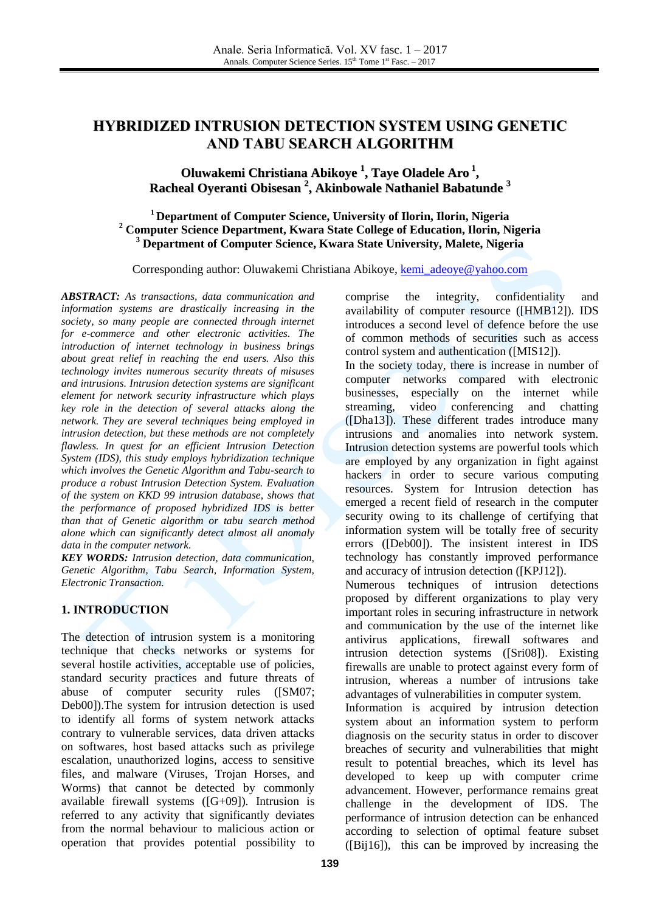# **HYBRIDIZED INTRUSION DETECTION SYSTEM USING GENETIC AND TABU SEARCH ALGORITHM**

## **Oluwakemi Christiana Abikoye 1 , Taye Oladele Aro 1 , Racheal Oyeranti Obisesan 2 , Akinbowale Nathaniel Babatunde 3**

### **<sup>1</sup> Department of Computer Science, University of Ilorin, Ilorin, Nigeria <sup>2</sup> Computer Science Department, Kwara State College of Education, Ilorin, Nigeria <sup>3</sup> Department of Computer Science, Kwara State University, Malete, Nigeria**

Corresponding author: Oluwakemi Christiana Abikoye, [kemi\\_adeoye@yahoo.com](mailto:kemi_adeoye@yahoo.com)

*ABSTRACT: As transactions, data communication and information systems are drastically increasing in the society, so many people are connected through internet for e-commerce and other electronic activities. The introduction of internet technology in business brings about great relief in reaching the end users. Also this technology invites numerous security threats of misuses and intrusions. Intrusion detection systems are significant element for network security infrastructure which plays key role in the detection of several attacks along the network. They are several techniques being employed in intrusion detection, but these methods are not completely flawless. In quest for an efficient Intrusion Detection System (IDS), this study employs hybridization technique which involves the Genetic Algorithm and Tabu-search to produce a robust Intrusion Detection System. Evaluation of the system on KKD 99 intrusion database, shows that the performance of proposed hybridized IDS is better than that of Genetic algorithm or tabu search method alone which can significantly detect almost all anomaly data in the computer network.*

*KEY WORDS: Intrusion detection, data communication, Genetic Algorithm, Tabu Search, Information System, Electronic Transaction.* 

### **1. INTRODUCTION**

The detection of intrusion system is a monitoring technique that checks networks or systems for several hostile activities, acceptable use of policies, standard security practices and future threats of abuse of computer security rules ([SM07; Deb00]).The system for intrusion detection is used to identify all forms of system network attacks contrary to vulnerable services, data driven attacks on softwares, host based attacks such as privilege escalation, unauthorized logins, access to sensitive files, and malware (Viruses, Trojan Horses, and Worms) that cannot be detected by commonly available firewall systems ([G+09]). Intrusion is referred to any activity that significantly deviates from the normal behaviour to malicious action or operation that provides potential possibility to

comprise the integrity, confidentiality and availability of computer resource ([HMB12]). IDS introduces a second level of defence before the use of common methods of securities such as access control system and authentication ([MIS12]).

In the society today, there is increase in number of computer networks compared with electronic businesses, especially on the internet while streaming, video conferencing and chatting ([Dha13]). These different trades introduce many intrusions and anomalies into network system. Intrusion detection systems are powerful tools which are employed by any organization in fight against hackers in order to secure various computing resources. System for Intrusion detection has emerged a recent field of research in the computer security owing to its challenge of certifying that information system will be totally free of security errors ([Deb00]). The insistent interest in IDS technology has constantly improved performance and accuracy of intrusion detection ([KPJ12]).

Numerous techniques of intrusion detections proposed by different organizations to play very important roles in securing infrastructure in network and communication by the use of the internet like antivirus applications, firewall softwares and intrusion detection systems ([Sri08]). Existing firewalls are unable to protect against every form of intrusion, whereas a number of intrusions take advantages of vulnerabilities in computer system.

Information is acquired by intrusion detection system about an information system to perform diagnosis on the security status in order to discover breaches of security and vulnerabilities that might result to potential breaches, which its level has developed to keep up with computer crime advancement. However, performance remains great challenge in the development of IDS. The performance of intrusion detection can be enhanced according to selection of optimal feature subset ([Bij16]), this can be improved by increasing the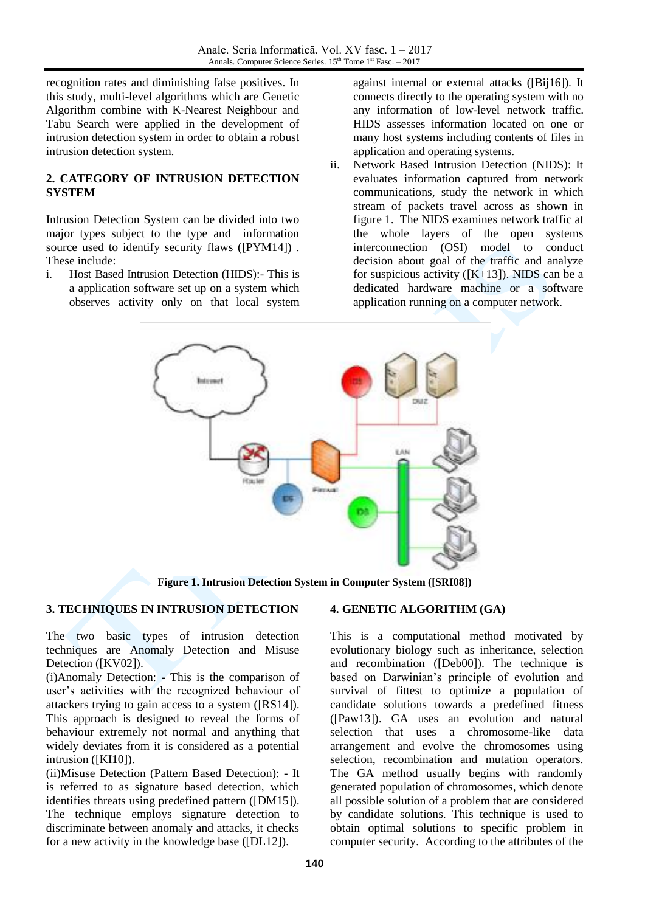recognition rates and diminishing false positives. In this study, multi-level algorithms which are Genetic Algorithm combine with K-Nearest Neighbour and Tabu Search were applied in the development of intrusion detection system in order to obtain a robust intrusion detection system.

### **2. CATEGORY OF INTRUSION DETECTION SYSTEM**

Intrusion Detection System can be divided into two major types subject to the type and information source used to identify security flaws ([PYM14]) . These include:

i. Host Based Intrusion Detection (HIDS):- This is a application software set up on a system which observes activity only on that local system against internal or external attacks ([Bij16]). It connects directly to the operating system with no any information of low-level network traffic. HIDS assesses information located on one or many host systems including contents of files in application and operating systems.

ii. Network Based Intrusion Detection (NIDS): It evaluates information captured from network communications, study the network in which stream of packets travel across as shown in figure 1. The NIDS examines network traffic at the whole layers of the open systems interconnection (OSI) model to conduct decision about goal of the traffic and analyze for suspicious activity ( $[K+13]$ ). NIDS can be a dedicated hardware machine or a software application running on a computer network.



**Figure 1. Intrusion Detection System in Computer System ([SRI08])**

## **3. TECHNIQUES IN INTRUSION DETECTION**

The two basic types of intrusion detection techniques are Anomaly Detection and Misuse Detection ([KV02]).

(i)Anomaly Detection: - This is the comparison of user's activities with the recognized behaviour of attackers trying to gain access to a system ([RS14]). This approach is designed to reveal the forms of behaviour extremely not normal and anything that widely deviates from it is considered as a potential intrusion ([KI10]).

(ii)Misuse Detection (Pattern Based Detection): - It is referred to as signature based detection, which identifies threats using predefined pattern ([DM15]). The technique employs signature detection to discriminate between anomaly and attacks, it checks for a new activity in the knowledge base ([DL12]).

### **4. GENETIC ALGORITHM (GA)**

This is a computational method motivated by evolutionary biology such as inheritance, selection and recombination ([Deb00]). The technique is based on Darwinian's principle of evolution and survival of fittest to optimize a population of candidate solutions towards a predefined fitness ([Paw13]). GA uses an evolution and natural selection that uses a chromosome-like data arrangement and evolve the chromosomes using selection, recombination and mutation operators. The GA method usually begins with randomly generated population of chromosomes, which denote all possible solution of a problem that are considered by candidate solutions. This technique is used to obtain optimal solutions to specific problem in computer security. According to the attributes of the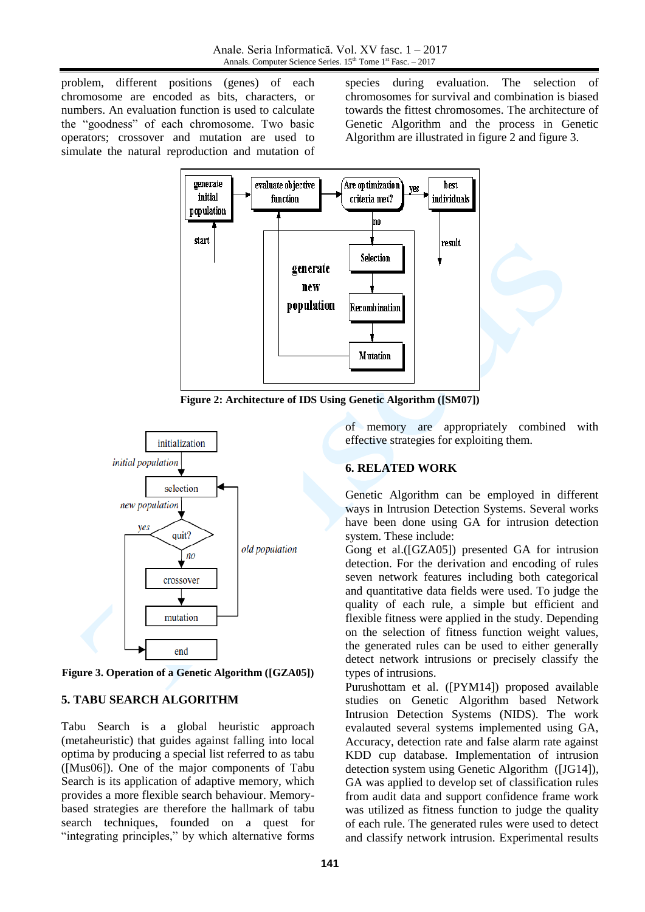problem, different positions (genes) of each chromosome are encoded as bits, characters, or numbers. An evaluation function is used to calculate the "goodness" of each chromosome. Two basic operators; crossover and mutation are used to simulate the natural reproduction and mutation of

species during evaluation. The selection of chromosomes for survival and combination is biased towards the fittest chromosomes. The architecture of Genetic Algorithm and the process in Genetic Algorithm are illustrated in figure 2 and figure 3.



**Figure 2: Architecture of IDS Using Genetic Algorithm ([SM07])**



**Figure 3. Operation of a Genetic Algorithm ([GZA05])**

### **5. TABU SEARCH ALGORITHM**

Tabu Search is a global heuristic approach (metaheuristic) that guides against falling into local optima by producing a special list referred to as tabu ([Mus06]). One of the major components of Tabu Search is its application of adaptive memory, which provides a more flexible search behaviour. Memorybased strategies are therefore the hallmark of tabu search techniques, founded on a quest for "integrating principles," by which alternative forms

of memory are appropriately combined with effective strategies for exploiting them.

### **6. RELATED WORK**

Genetic Algorithm can be employed in different ways in Intrusion Detection Systems. Several works have been done using GA for intrusion detection system. These include:

Gong et al.([GZA05]) presented GA for intrusion detection. For the derivation and encoding of rules seven network features including both categorical and quantitative data fields were used. To judge the quality of each rule, a simple but efficient and flexible fitness were applied in the study. Depending on the selection of fitness function weight values, the generated rules can be used to either generally detect network intrusions or precisely classify the types of intrusions.

Purushottam et al. ([PYM14]) proposed available studies on Genetic Algorithm based Network Intrusion Detection Systems (NIDS). The work evalauted several systems implemented using GA, Accuracy, detection rate and false alarm rate against KDD cup database. Implementation of intrusion detection system using Genetic Algorithm ([JG14]), GA was applied to develop set of classification rules from audit data and support confidence frame work was utilized as fitness function to judge the quality of each rule. The generated rules were used to detect and classify network intrusion. Experimental results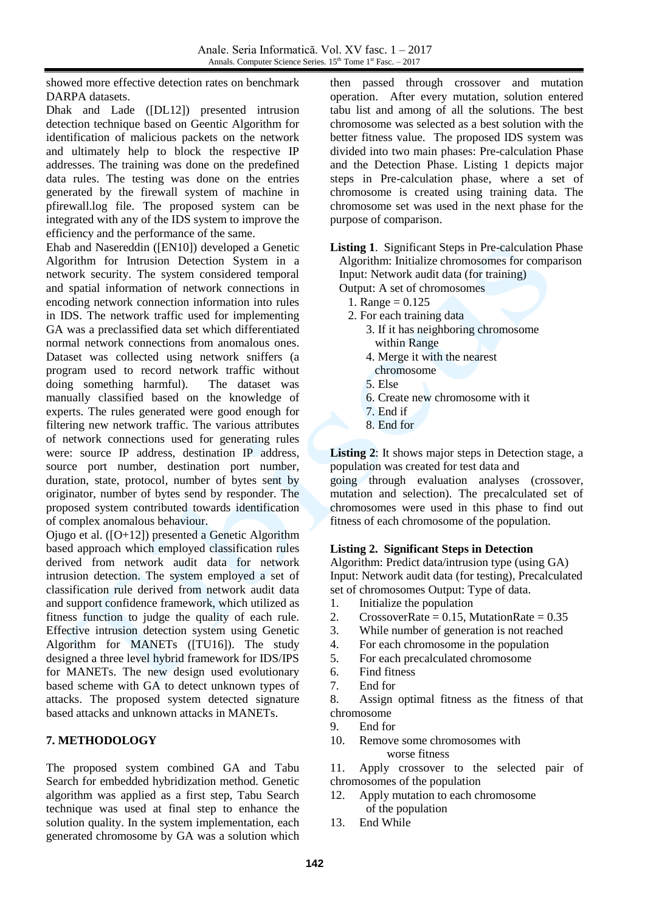showed more effective detection rates on benchmark DARPA datasets.

Dhak and Lade ([DL12]) presented intrusion detection technique based on Geentic Algorithm for identification of malicious packets on the network and ultimately help to block the respective IP addresses. The training was done on the predefined data rules. The testing was done on the entries generated by the firewall system of machine in pfirewall.log file. The proposed system can be integrated with any of the IDS system to improve the efficiency and the performance of the same.

Ehab and Nasereddin ([EN10]) developed a Genetic Algorithm for Intrusion Detection System in a network security. The system considered temporal and spatial information of network connections in encoding network connection information into rules in IDS. The network traffic used for implementing GA was a preclassified data set which differentiated normal network connections from anomalous ones. Dataset was collected using network sniffers (a program used to record network traffic without doing something harmful). The dataset was manually classified based on the knowledge of experts. The rules generated were good enough for filtering new network traffic. The various attributes of network connections used for generating rules were: source IP address, destination IP address, source port number, destination port number, duration, state, protocol, number of bytes sent by originator, number of bytes send by responder. The proposed system contributed towards identification of complex anomalous behaviour.

Ojugo et al. ([O+12]) presented a Genetic Algorithm based approach which employed classification rules derived from network audit data for network intrusion detection. The system employed a set of classification rule derived from network audit data and support confidence framework, which utilized as fitness function to judge the quality of each rule. Effective intrusion detection system using Genetic Algorithm for MANETs ([TU16]). The study designed a three level hybrid framework for IDS/IPS for MANETs. The new design used evolutionary based scheme with GA to detect unknown types of attacks. The proposed system detected signature based attacks and unknown attacks in MANETs.

## **7. METHODOLOGY**

The proposed system combined GA and Tabu Search for embedded hybridization method. Genetic algorithm was applied as a first step, Tabu Search technique was used at final step to enhance the solution quality. In the system implementation, each generated chromosome by GA was a solution which then passed through crossover and mutation operation. After every mutation, solution entered tabu list and among of all the solutions. The best chromosome was selected as a best solution with the better fitness value. The proposed IDS system was divided into two main phases: Pre-calculation Phase and the Detection Phase. Listing 1 depicts major steps in Pre-calculation phase, where a set of chromosome is created using training data. The chromosome set was used in the next phase for the purpose of comparison.

**Listing 1**. Significant Steps in Pre-calculation Phase Algorithm: Initialize chromosomes for comparison Input: Network audit data (for training)

- Output: A set of chromosomes
	- 1. Range = 0.125
	- 2. For each training data
		- 3. If it has neighboring chromosome within Range
		- 4. Merge it with the nearest
			- chromosome
		- 5. Else
		- 6. Create new chromosome with it
		- 7. End if
		- 8. End for

**Listing 2**: It shows major steps in Detection stage, a population was created for test data and

going through evaluation analyses (crossover, mutation and selection). The precalculated set of chromosomes were used in this phase to find out fitness of each chromosome of the population.

### **Listing 2. Significant Steps in Detection**

Algorithm: Predict data/intrusion type (using GA) Input: Network audit data (for testing), Precalculated set of chromosomes Output: Type of data.

- 1. Initialize the population
- 2. CrossoverRate =  $0.15$ , MutationRate =  $0.35$
- 3. While number of generation is not reached
- 4. For each chromosome in the population
- 5. For each precalculated chromosome
- 6. Find fitness
- 7. End for
- 8. Assign optimal fitness as the fitness of that chromosome
- 9. End for
- 10. Remove some chromosomes with worse fitness

11. Apply crossover to the selected pair of chromosomes of the population

- 12. Apply mutation to each chromosome of the population
- 13. End While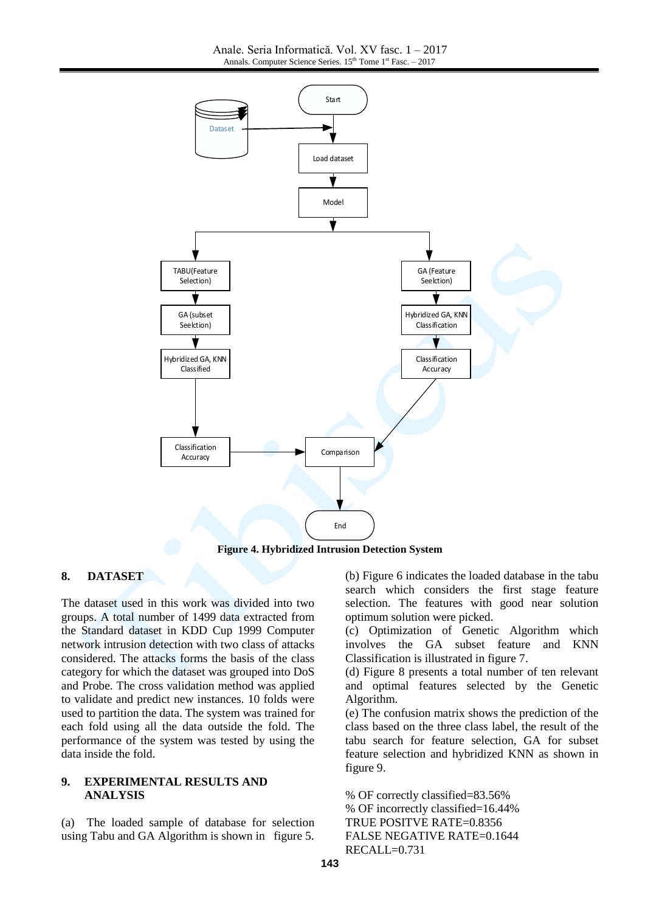

**Figure 4. Hybridized Intrusion Detection System**

### **8. DATASET**

The dataset used in this work was divided into two groups. A total number of 1499 data extracted from the Standard dataset in KDD Cup 1999 Computer network intrusion detection with two class of attacks considered. The attacks forms the basis of the class category for which the dataset was grouped into DoS and Probe. The cross validation method was applied to validate and predict new instances. 10 folds were used to partition the data. The system was trained for each fold using all the data outside the fold. The performance of the system was tested by using the data inside the fold.

#### **9. EXPERIMENTAL RESULTS AND ANALYSIS**

(a) The loaded sample of database for selection using Tabu and GA Algorithm is shown in figure 5. (b) Figure 6 indicates the loaded database in the tabu search which considers the first stage feature selection. The features with good near solution optimum solution were picked.

(c) Optimization of Genetic Algorithm which involves the GA subset feature and KNN Classification is illustrated in figure 7.

(d) Figure 8 presents a total number of ten relevant and optimal features selected by the Genetic Algorithm.

(e) The confusion matrix shows the prediction of the class based on the three class label, the result of the tabu search for feature selection, GA for subset feature selection and hybridized KNN as shown in figure 9.

% OF correctly classified=83.56% % OF incorrectly classified=16.44% TRUE POSITVE RATE=0.8356 FALSE NEGATIVE RATE=0.1644 RECALL=0.731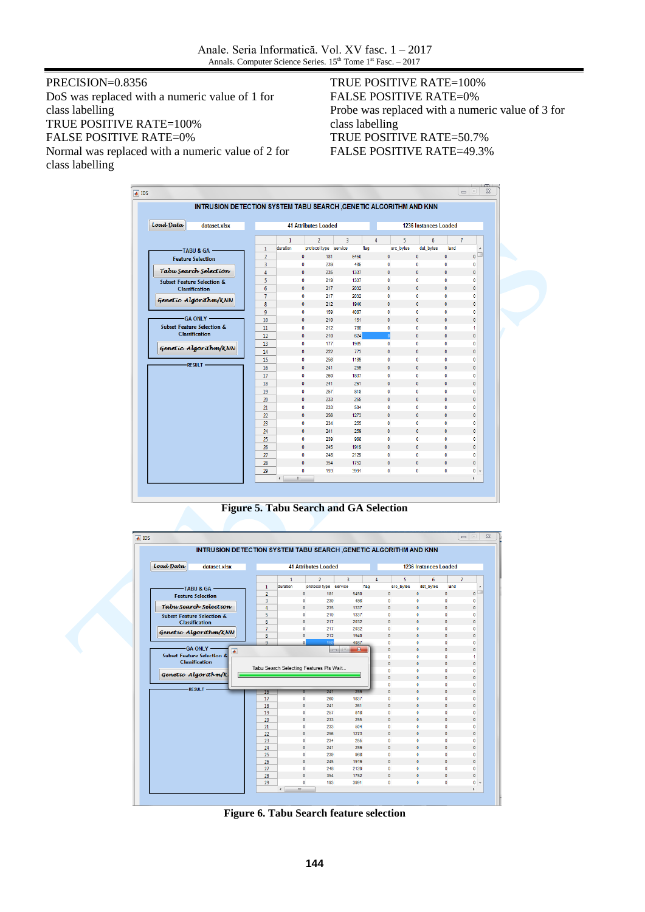Anale. Seria Informatică. Vol. XV fasc. 1 – 2017 Annals. Computer Science Series.  $15<sup>th</sup>$  Tome  $1<sup>st</sup>$  Fasc. – 2017

PRECISION=0.8356 DoS was replaced with a numeric value of 1 for class labelling TRUE POSITIVE RATE=100% FALSE POSITIVE RATE=0% Normal was replaced with a numeric value of 2 for class labelling

### TRUE POSITIVE RATE=100% FALSE POSITIVE RATE=0% Probe was replaced with a numeric value of 3 for class labelling TRUE POSITIVE RATE=50.7% FALSE POSITIVE RATE=49.3%

|           | INTRUSION DETECTION SYSTEM TABU SEARCH, GENETIC ALGORITHM AND KNN |                |                             |              |                       |      |      |                |           |                       |                |                         |
|-----------|-------------------------------------------------------------------|----------------|-----------------------------|--------------|-----------------------|------|------|----------------|-----------|-----------------------|----------------|-------------------------|
| Load Data | dataset.xlsx                                                      |                | <b>41 Attributes Loaded</b> |              |                       |      |      |                |           | 1236 Instances Loaded |                |                         |
|           |                                                                   |                | $\mathbf{1}$                |              | $\overline{2}$        | 3    | 4    |                | 5         | 6                     | $\overline{1}$ |                         |
|           | -TABU & GA                                                        | $\mathbf{1}$   | duration                    |              | protocol type service |      | flag |                | src bytes | dst bytes             | land           | ۸                       |
|           | <b>Feature Selection</b>                                          | $\overline{2}$ |                             | $\bullet$    | 181                   | 5450 |      | $\mathbf{0}$   |           | $\mathbf{0}$          | $\mathbf{0}$   | $\overline{\mathbf{0}}$ |
|           |                                                                   | 3              |                             | 0            | 239                   | 486  |      | $\mathbf{0}$   |           | 0                     | 0              | $\mathbf 0$             |
|           | Tabu Search Selection                                             | 4              |                             | $\mathbf{0}$ | 235                   | 1337 |      | $\mathbf{0}$   |           | $\mathbf{0}$          | $\mathbf{0}$   | $\mathbf{0}$            |
|           | <b>Subset Feature Selection &amp;</b>                             | 5              |                             | 0            | 219                   | 1337 |      | 0              |           | 0                     | $\bullet$      | $\mathbf{0}$            |
|           | <b>Classification</b>                                             | 6              |                             | 0            | 217                   | 2032 |      | $\mathbf{0}$   |           | $\mathbf{0}$          | 0              | $\mathbf{0}$            |
|           | Genetic Algorithm/KNN                                             | $\overline{7}$ |                             | $\mathbf{0}$ | 217                   | 2032 |      | $\mathbf{0}$   |           | 0                     | 0              | $\mathbf{0}$            |
|           |                                                                   | 8              |                             | $\mathbf{0}$ | 212                   | 1940 |      | $\mathbf{0}$   |           | 0                     | $\mathbf 0$    | $\mathbf{0}$            |
|           |                                                                   | 9              |                             | $\mathbf{0}$ | 159                   | 4087 |      | $\mathbf{0}$   |           | 0                     | 0              | 0                       |
|           | <b>GA ONLY --</b>                                                 | 10             |                             | 0            | 210                   | 151  |      | $\mathbf{0}$   |           | 0                     | $\bf{0}$       | 0                       |
|           | <b>Subset Feature Selection &amp;</b>                             | 11             |                             | $\mathbf{0}$ | 212                   | 786  |      | 0              |           | 0                     | $\mathbf{0}$   | 1                       |
|           | <b>Classification</b>                                             | 12             |                             | $\mathbf{0}$ | 210                   | 624  |      | $\overline{0}$ |           | $\mathbf{0}$          | $\mathbf{0}$   | $\mathbf{0}$            |
|           |                                                                   | 13             |                             | $\mathbf{0}$ | 177                   | 1985 |      | $\mathbf{0}$   |           | $\mathbf{0}$          | $\bullet$      | 0                       |
|           | Genetic Algorithm/KNN                                             | 14             |                             | $\mathbf{0}$ | 222                   | 773  |      | $\mathbf{0}$   |           | $\mathbf{0}$          | $\mathbf{0}$   | $\mathbf{0}$            |
|           |                                                                   | 15             |                             | 0            | 256                   | 1169 |      | 0              |           | 0                     | $\bullet$      | $\mathbf{0}$            |
|           | <b>RESULT -</b>                                                   | 16             |                             | 0            | 241                   | 259  |      | $\mathbf{0}$   |           | $\mathbf{0}$          | $\mathbf{0}$   | $\mathbf{0}$            |
|           |                                                                   | 17             |                             | 0            | 260                   | 1837 |      | $\mathbf{0}$   |           | 0                     | 0              | 0                       |
|           |                                                                   | 18             |                             | $\mathbf{0}$ | 241                   | 261  |      | $\mathbf{0}$   |           | $\mathbf{0}$          | $\mathbf{0}$   | $\mathbf{0}$            |
|           |                                                                   | 19             |                             | 0            | 257                   | 818  |      | $\mathbf 0$    |           | 0                     | $\bf{0}$       | 0                       |
|           |                                                                   | 20             |                             | $\mathbf{0}$ | 233                   | 255  |      | $\mathbf{0}$   |           | $\mathbf{0}$          | $\mathbf{0}$   | $\mathbf{0}$            |
|           |                                                                   | 21             |                             | 0            | 233                   | 504  |      | $\mathbf{0}$   |           | 0                     | 0              | 0                       |
|           |                                                                   | 22             |                             | $\mathbf{0}$ | 256                   | 1273 |      | $\mathbf{0}$   |           | $\mathbf{0}$          | $\bf{0}$       | $\mathbf{0}$            |
|           |                                                                   | 23             |                             | 0            | 234                   | 255  |      | $\mathbf{0}$   |           | 0                     | 0              | 0                       |
|           |                                                                   | 24             |                             | $\mathbf{0}$ | 241                   | 259  |      | $\mathbf{0}$   |           | $\mathbf{0}$          | $\mathbf{0}$   | $\mathbf{0}$            |
|           |                                                                   | 25             |                             | 0            | 239                   | 968  |      | $\mathbf{0}$   |           | $\mathbf{0}$          | $\bf{0}$       | $\mathbf{0}$            |
|           |                                                                   | 26             |                             | $\mathbf{0}$ | 245                   | 1919 |      | $\mathbf{0}$   |           | $\mathbf{0}$          | $\mathbf{0}$   | $\mathbf{0}$            |
|           |                                                                   | 27             |                             | $\mathbf{0}$ | 248                   | 2129 |      | $\bullet$      |           | $\bf{0}$              | $\bf{0}$       | $\bullet$               |
|           |                                                                   | 28             |                             | $\mathbf{0}$ | 354                   | 1752 |      | $\mathbf{0}$   |           | $\mathbf{0}$          | $\mathbf{0}$   | $\mathbf{0}$            |
|           |                                                                   | 29             |                             | 0            | 193                   | 3991 |      | $\mathbf{0}$   |           | 0                     | $\bf{0}$       | $0 -$                   |
|           |                                                                   |                | $\overline{\phantom{a}}$    | m,           |                       |      |      |                |           |                       |                | r                       |

**Figure 5. Tabu Search and GA Selection**

|                                       | INTRUSION DETECTION SYSTEM TABU SEARCH, GENETIC ALGORITHM AND KNN |                |                                         |                             |                                      |                              |                              |                           |                              |
|---------------------------------------|-------------------------------------------------------------------|----------------|-----------------------------------------|-----------------------------|--------------------------------------|------------------------------|------------------------------|---------------------------|------------------------------|
| Load Data                             | dataset.xlsx                                                      |                |                                         | <b>41 Attributes Loaded</b> |                                      |                              | 1236 Instances Loaded        |                           |                              |
|                                       |                                                                   |                | $\mathbf{1}$                            | $\overline{2}$              | 3                                    | 5<br>$\overline{4}$          | 6                            | $\overline{7}$            |                              |
| <b>TABU &amp; GA</b>                  |                                                                   | $\mathbf{1}$   | duration                                | protocol type service       | flag                                 | src_bytes                    | dst bytes                    | land                      |                              |
| <b>Feature Selection</b>              |                                                                   | $\overline{2}$ | $\mathbf{0}$                            | 181                         | 5450                                 | $\mathbf{0}$                 | $\mathbf{0}$                 | $\mathbf{0}$              | $\circ$                      |
|                                       |                                                                   | 3              | $\mathbf{0}$                            | 239                         | 486                                  | $\mathbf{0}$                 | $\mathbf{0}$                 | $\mathbf{0}$              | $\mathbf{0}$                 |
| Tabu Search Selection                 |                                                                   | 4              | $\mathbf{0}$                            | 235                         | 1337                                 | $\mathbf{0}$                 | $\mathbf{0}$                 | $\mathbf{0}$              | $\mathbf{0}$                 |
| <b>Subset Feature Selection &amp;</b> |                                                                   | 5              | $\bullet$                               | 219                         | 1337                                 | $\bullet$                    | $\bullet$                    | $\Omega$                  | $\mathbf{0}$                 |
| <b>Classification</b>                 |                                                                   | 6              | $\mathbf{0}$                            | 217                         | 2032                                 | $\mathbf{0}$                 | $\mathbf{0}$                 | $\mathbf{0}$              | $\mathbf{0}$                 |
| Genetic Algorithm/KNN                 |                                                                   | $\overline{7}$ | $\bullet$                               | 217                         | 2032                                 | $\mathbf{0}$                 | $\mathbf{0}$                 | $\mathbf{0}$              | $\mathbf{0}$                 |
|                                       |                                                                   | 8              | $\mathbf{0}$                            | 212                         | 1940                                 | $\mathbf{0}$                 | $\mathbf{0}$                 | $\mathbf{0}$              | $\mathbf{0}$                 |
| -GA ONLY -                            |                                                                   | $\mathbf{Q}$   | $\mathbf{0}$                            | 159                         | 4087                                 | $\mathbf{0}$                 | $\mathbf{0}$                 | $\mathbf{0}$              | $\mathbf{0}$                 |
| <b>Subset Feature Selection &amp;</b> | $\overline{ }$                                                    |                |                                         |                             | $\qquad \qquad \Box$<br>$\mathbf{x}$ | $\mathbf{0}$                 | $\mathbf{0}$                 | $\mathbf{0}$              | $\mathbf{0}$                 |
| <b>Classification</b>                 |                                                                   |                |                                         |                             |                                      | $\mathbf{0}$                 | $\bullet$<br>$\mathbf{0}$    | $\bullet$<br>$\mathbf{0}$ | $\overline{1}$               |
|                                       |                                                                   |                | Tabu Search Selecting Features Pls Wait |                             |                                      | $\mathbf{0}$<br>$\mathbf{0}$ | $\bullet$                    | $\bullet$                 | $\mathbf{0}$<br>$\mathbf{0}$ |
| Genetic Algorithm/K                   |                                                                   |                |                                         |                             |                                      | $\mathbf{0}$                 | $\mathbf{0}$                 | $\bullet$                 | $\mathbf{0}$                 |
|                                       |                                                                   |                |                                         |                             |                                      | $\bullet$                    | $\bullet$                    | $\bullet$                 | $\mathbf{0}$                 |
| <b>RESULT</b>                         |                                                                   | 16             |                                         | 241                         | 259                                  | $\mathbf{0}$                 | $\mathbf{0}$                 | $\mathbf{0}$              | $\mathbf{0}$                 |
|                                       |                                                                   | 17             | 0                                       | 260                         | 1837                                 | $\mathbf{0}$                 | $\mathbf{0}$                 | $\mathbf{0}$              | 0                            |
|                                       |                                                                   | 18             | $\mathbf{0}$                            | 241                         | 261                                  | $\mathbf{0}$                 | $\mathbf{0}$                 | $\mathbf{0}$              | $\mathbf{0}$                 |
|                                       |                                                                   | 19             | $\bullet$                               | 257                         | 818                                  | $\bullet$                    | $\mathbf{0}$                 | $\bullet$                 | $\mathbf{0}$                 |
|                                       |                                                                   | 20             | $\mathbf{0}$                            | 233                         | 255                                  | $\mathbf{0}$                 | $\mathbf{0}$                 | $\Omega$                  | $\mathbf{0}$                 |
|                                       |                                                                   | 21             | $\bullet$                               | 233                         | 504                                  | 0                            | 0                            | $\bullet$                 | $\mathbf{0}$                 |
|                                       |                                                                   | 22             | $\mathbf{0}$                            | 256                         | 1273                                 | $\mathbf{0}$                 | $\mathbf{0}$                 | $\mathbf{0}$              | $\mathbf{0}$                 |
|                                       |                                                                   | 23             | $\mathbf{0}$                            | 234                         | 255                                  | $\mathbf{0}$                 | $\mathbf{0}$                 | $\mathbf{0}$              | $\mathbf{0}$                 |
|                                       |                                                                   | 24             | $\bullet$                               | 241                         | 259                                  | $\mathbf{0}$                 | $\mathbf{0}$                 | $\mathbf{0}$              | $\mathbf{0}$                 |
|                                       |                                                                   | 25             | $\bullet$                               | 239                         | 968                                  | $\mathbf{0}$                 | $\mathbf{0}$                 | $\mathbf{0}$              | $\Omega$                     |
|                                       |                                                                   | 26             | $\mathbf{0}$                            | 245                         | 1919                                 | $\mathbf{0}$                 | $\mathbf{0}$                 | $\mathbf{0}$              | $\mathbf{0}$                 |
|                                       |                                                                   | 27             | $\bullet$                               | 248                         | 2129                                 | $\mathbf{0}$<br>$\mathbf{0}$ | $\mathbf{0}$<br>$\mathbf{0}$ | $\Omega$<br>$\mathbf{0}$  | $\mathbf{0}$                 |
|                                       |                                                                   | 28             | $\mathbf{0}$                            | 354                         | 1752                                 |                              |                              |                           | $\mathbf{0}$                 |

**Figure 6. Tabu Search feature selection**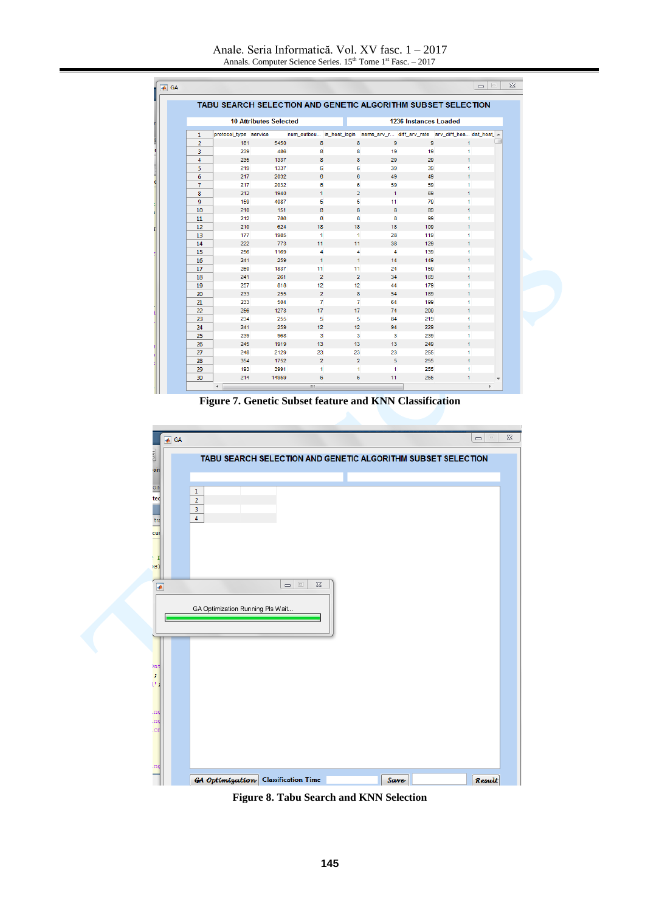Anale. Seria Informatică. Vol. XV fasc. 1 – 2017 Annals. Computer Science Series. 15<sup>th</sup> Tome 1<sup>st</sup> Fasc. – 2017

|                |                       |                               |                |                |                      |                       | TABU SEARCH SELECTION AND GENETIC ALGORITHM SUBSET SELECTION               |  |
|----------------|-----------------------|-------------------------------|----------------|----------------|----------------------|-----------------------|----------------------------------------------------------------------------|--|
|                |                       | <b>10 Attributes Selected</b> |                |                |                      | 1236 Instances Loaded |                                                                            |  |
| 1              | protocol_type service |                               |                |                |                      |                       | num_outbou is_host_login same_srv_r diff_srv_rate srv_diff_hos dst_host_ ^ |  |
| $\overline{2}$ | 181                   | 5450                          | 8              | 8              | $\overline{9}$       | $\overline{9}$        | $\mathbf{1}$                                                               |  |
| 3              | 239                   | 486                           | 8              | 8              | 19                   | 19                    | 1                                                                          |  |
| $\overline{4}$ | 235                   | 1337                          | 8              | 8              | 29                   | 29                    | $\mathbf{1}$                                                               |  |
| 5              | 219                   | 1337                          | 6              | 6              | 39                   | 39                    | 1                                                                          |  |
| 6              | 217                   | 2032                          | 6              | 6              | 49                   | 49                    | $\mathbf{1}$                                                               |  |
| $\overline{7}$ | 217                   | 2032                          | 6              | 6              | 59                   | 59                    | 1                                                                          |  |
| 8              | 212                   | 1940                          | $\mathbf{1}$   | $\overline{2}$ | $\blacktriangleleft$ | 69                    | 1                                                                          |  |
| 9              | 159                   | 4087                          | 5              | 5              | 11                   | 79                    | $\mathbf{1}$                                                               |  |
| 10             | 210                   | 151                           | 8              | 8              | 8                    | 89                    | $\mathbf{1}$                                                               |  |
| 11             | 212                   | 786                           | 8              | 8              | 8                    | 99                    | $\mathbf{1}$                                                               |  |
| 12             | 210                   | 624                           | 18             | 18             | 18                   | 109                   | $\mathbf{1}$                                                               |  |
| 13             | 177                   | 1985                          | $\mathbf{1}$   | $\mathbf{1}$   | 28                   | 119                   | 1                                                                          |  |
| 14             | 222                   | 773                           | 11             | 11             | 38                   | 129                   | 1                                                                          |  |
| 15             | 256                   | 1169                          | 4              | 4              | $\overline{4}$       | 139                   | 1                                                                          |  |
| 16             | 241                   | 259                           | $\mathbf{1}$   | $\mathbf{1}$   | 14                   | 149                   | $\mathbf{1}$                                                               |  |
| 17             | 260                   | 1837                          | 11             | 11             | 24                   | 159                   | 1                                                                          |  |
| 18             | 241                   | 261                           | $\overline{2}$ | $\overline{2}$ | 34                   | 169                   | $\mathbf{1}$                                                               |  |
| 19             | 257                   | 818                           | 12             | 12             | 44                   | 179                   | 1                                                                          |  |
| 20             | 233                   | 255                           | $\overline{2}$ | 8              | 54                   | 189                   | $\mathbf{1}$                                                               |  |
| 21             | 233                   | 504                           | $\overline{7}$ | 7              | 64                   | 199                   | 1                                                                          |  |
| 22             | 256                   | 1273                          | 17             | 17             | 74                   | 209                   | 1                                                                          |  |
| 23             | 234                   | 255                           | 5              | 5              | 84                   | 219                   | $\mathbf{1}$                                                               |  |
| 24             | 241                   | 259                           | 12             | 12             | 94                   | 229                   | $\mathbf{1}$                                                               |  |
| 25             | 239                   | 968                           | 3              | 3              | 3                    | 239                   | 1                                                                          |  |
| 26             | 245                   | 1919                          | 13             | 13             | 13                   | 249                   | $\mathbf{1}$                                                               |  |
| 27             | 248                   | 2129                          | 23             | 23             | 23                   | 255                   | $\mathbf{1}$                                                               |  |
| 28             | 354                   | 1752                          | $\overline{2}$ | $\overline{2}$ | 5                    | 255                   | $\mathbf{1}$                                                               |  |
| 29             | 193                   | 3991                          | 1              | $\mathbf{1}$   | 1                    | 255                   | $\mathbf{1}$                                                               |  |

**Figure 7. Genetic Subset feature and KNN Classification**



**Figure 8. Tabu Search and KNN Selection**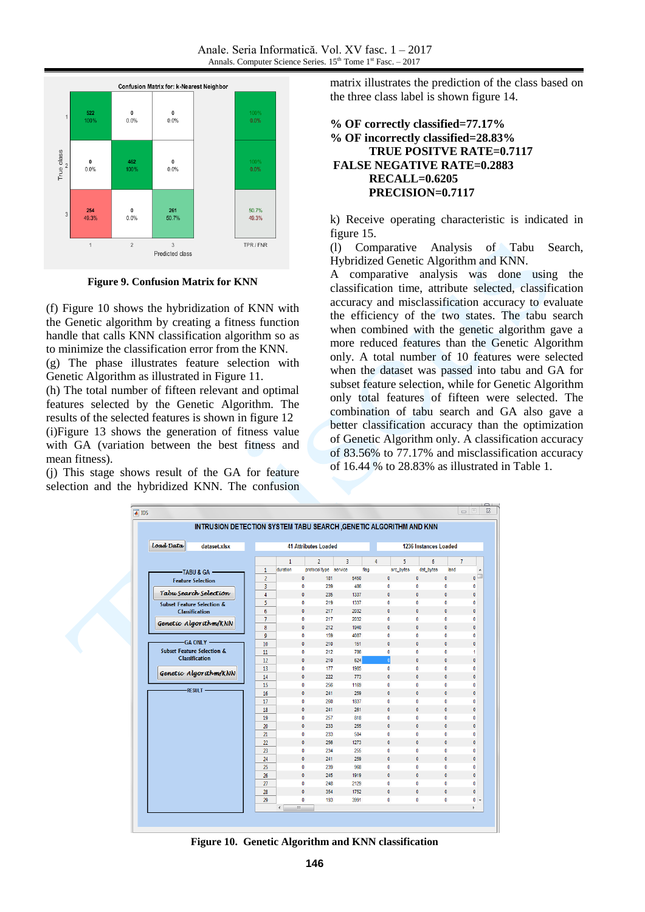

**Figure 9. Confusion Matrix for KNN**

(f) Figure 10 shows the hybridization of KNN with the Genetic algorithm by creating a fitness function handle that calls KNN classification algorithm so as to minimize the classification error from the KNN.

(g) The phase illustrates feature selection with Genetic Algorithm as illustrated in Figure 11.

(h) The total number of fifteen relevant and optimal features selected by the Genetic Algorithm. The results of the selected features is shown in figure 12 (i)Figure 13 shows the generation of fitness value with GA (variation between the best fitness and mean fitness).

(j) This stage shows result of the GA for feature selection and the hybridized KNN. The confusion matrix illustrates the prediction of the class based on the three class label is shown figure 14.

### **% OF correctly classified=77.17% % OF incorrectly classified=28.83% TRUE POSITVE RATE=0.7117 FALSE NEGATIVE RATE=0.2883 RECALL=0.6205 PRECISION=0.7117**

k) Receive operating characteristic is indicated in figure 15.

(l) Comparative Analysis of Tabu Search, Hybridized Genetic Algorithm and KNN.

A comparative analysis was done using the classification time, attribute selected, classification accuracy and misclassification accuracy to evaluate the efficiency of the two states. The tabu search when combined with the genetic algorithm gave a more reduced features than the Genetic Algorithm only. A total number of 10 features were selected when the dataset was passed into tabu and GA for subset feature selection, while for Genetic Algorithm only total features of fifteen were selected. The combination of tabu search and GA also gave a better classification accuracy than the optimization of Genetic Algorithm only. A classification accuracy of 83.56% to 77.17% and misclassification accuracy of 16.44 % to 28.83% as illustrated in Table 1.

| Load Data | dataset.xlsx                          |                |              |              | <b>41 Attributes Loaded</b> |   |      |                |                 | 1236 Instances Loaded |                |
|-----------|---------------------------------------|----------------|--------------|--------------|-----------------------------|---|------|----------------|-----------------|-----------------------|----------------|
|           |                                       |                | $\mathbf{1}$ |              | $\overline{2}$              | 3 |      | $\overline{4}$ | 5               | 6                     | $\overline{1}$ |
|           | -TABU & GA -                          | $\mathbf{1}$   | duration     |              | protocol type service       |   | flag |                | src_bytes       | dst_bytes             | land           |
|           | <b>Feature Selection</b>              | $\overline{2}$ |              | $\pmb{0}$    | 181                         |   | 5450 |                | $\mathbf 0$     | $\pmb{0}$             | 0              |
|           |                                       | 3              |              | $\bf{0}$     | 239                         |   | 486  |                | 0               | 0                     | 0              |
|           | Tabu Search Selection                 | 4              |              | $\mathbf{0}$ | 235                         |   | 1337 |                | $\mathbf{0}$    | $\mathbf{0}$          | $\overline{0}$ |
|           | <b>Subset Feature Selection &amp;</b> | 5              |              | $\pmb{0}$    | 219                         |   | 1337 |                | $\mathbf 0$     | $\bullet$             | o              |
|           | <b>Classification</b>                 | 6              |              | $\pmb{0}$    | 217                         |   | 2032 |                | $\mathbf 0$     | $\mathbf{0}$          | 0              |
|           | Genetic Algorithm/KNN                 | $\overline{7}$ |              | $\pmb{0}$    | 217                         |   | 2032 |                | $\pmb{0}$       | 0                     | 0              |
|           |                                       | 8              |              | $\mathbf{0}$ | 212                         |   | 1940 |                | $\bf{0}$        | $\mathbf{0}$          | $\bullet$      |
|           |                                       | 9              |              | $\bf{0}$     | 159                         |   | 4087 |                | $\mathbf 0$     | $\bf{0}$              | 0              |
|           | -GA ONLY -                            | 10             |              | $\pmb{0}$    | 210                         |   | 151  |                | 0               | $\mathbf 0$           | 0              |
|           | <b>Subset Feature Selection &amp;</b> | 11             |              | $\mathbf 0$  | 212                         |   | 786  |                | $\circ$         | $\mathbf 0$           | 0              |
|           | <b>Classification</b>                 | 12             |              | $\mathbf{0}$ | 210                         |   | 624  |                | $\vert 0 \vert$ | $\mathbf{0}$          | $\overline{0}$ |
|           | Genetic Algorithm/KNN                 | 13             |              | $\mathbf{0}$ | 177                         |   | 1985 |                | $\mathbf{0}$    | $\bf{0}$              | $\mathbf{0}$   |
|           |                                       | 14             |              | $\mathbf{0}$ | 222                         |   | 773  |                | $\pmb{0}$       | $\mathbf{0}$          | $\overline{0}$ |
|           |                                       | 15             |              | $\circ$      | 256                         |   | 1169 |                | 0               | $\bullet$             | 0              |
|           | <b>RESULT-</b>                        | 16             |              | $\pmb{0}$    | 241                         |   | 259  |                | $\mathbf{0}$    | $\mathbf{0}$          | $\overline{0}$ |
|           |                                       | 17             |              | $\bf{0}$     | 260                         |   | 1837 |                | 0               | 0                     | 0              |
|           |                                       | 18             |              | $\mathbf{0}$ | 241                         |   | 261  |                | $\pmb{0}$       | $\mathbf{0}$          | $\bullet$      |
|           |                                       | 19             |              | $\pmb{0}$    | 257                         |   | 818  |                | $\mathbf 0$     | $\bullet$             | o              |
|           |                                       | 20             |              | $\pmb{0}$    | 233                         |   | 255  |                | $\pmb{0}$       | $\pmb{0}$             | 0              |
|           |                                       | 21             |              | $\bf{0}$     | 233                         |   | 504  |                | $\pmb{0}$       | 0                     | 0              |
|           |                                       | 22             |              | $\mathbf{0}$ | 256                         |   | 1273 |                | $\pmb{0}$       | $\mathbf{0}$          | $\mathbf{0}$   |
|           |                                       | 23             |              | $\pmb{0}$    | 234                         |   | 255  |                | 0               | $\mathbf 0$           | 0              |
|           |                                       | 24             |              | $\pmb{0}$    | 241                         |   | 259  |                | $\mathbf 0$     | $\pmb{0}$             | $\bullet$      |
|           |                                       | 25             |              | $\circ$      | 239                         |   | 968  |                | 0               | $\bullet$             | 0              |
|           |                                       | 26             |              | $\mathbf{0}$ | 245                         |   | 1919 |                | $\mathbf{0}$    | $\mathbf{0}$          | $\overline{0}$ |
|           |                                       | 27             |              | $\mathbf{0}$ | 248                         |   | 2129 |                | $\bf{0}$        | $\bf{0}$              | $\bf{0}$       |
|           |                                       | 28             |              | $\mathbf{0}$ | 354                         |   | 1752 |                | $\mathbf{0}$    | $\mathbf{0}$          | o              |
|           |                                       | 29             |              | $\circ$      | 193                         |   | 3991 |                | 0               | $\bullet$             | 0              |

**Figure 10. Genetic Algorithm and KNN classification**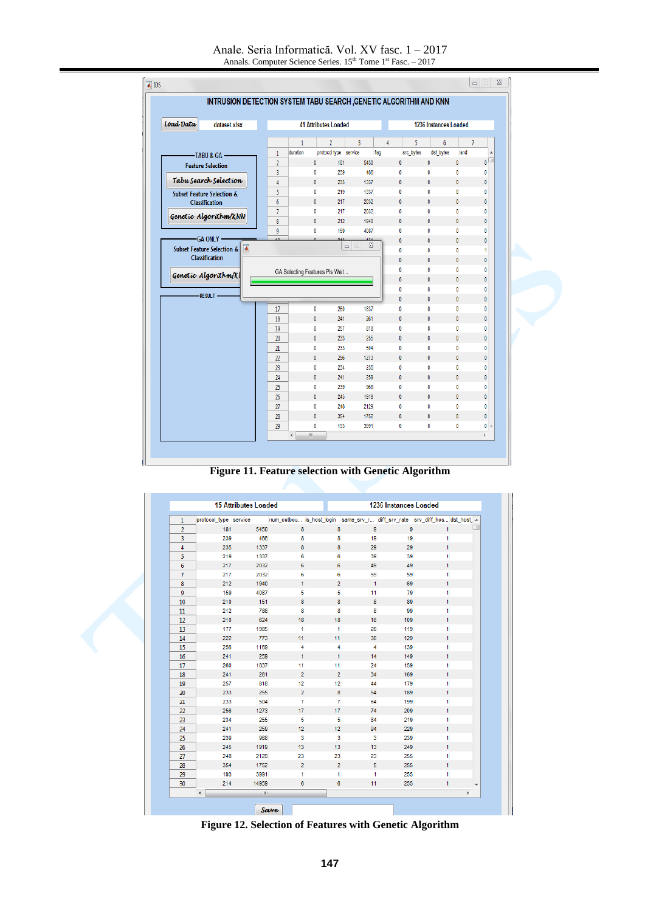| Load Data                                     | dataset.xlsx |                  |                                |              | <b>41 Attributes Loaded</b> |                                                               |      |                          | 1236 Instances Loaded |                  |                |                         |
|-----------------------------------------------|--------------|------------------|--------------------------------|--------------|-----------------------------|---------------------------------------------------------------|------|--------------------------|-----------------------|------------------|----------------|-------------------------|
|                                               |              |                  | 1                              |              | $\overline{2}$              | 3                                                             | 4    |                          | 5                     | $\boldsymbol{6}$ | $\overline{7}$ |                         |
| -TABU & GA                                    |              | $\mathbf{1}$     | duration                       |              | protocol type service       |                                                               | flag | src_bytes                |                       | dst bytes        | land           | $\blacktriangle$        |
| <b>Feature Selection</b>                      |              | $\overline{2}$   |                                | 0            | 181                         | 5450                                                          |      | $\mathbf{0}$             | $\mathbf{0}$          |                  | $\pmb{0}$      | $\overline{\mathbf{0}}$ |
|                                               |              | 3                |                                | 0            | 239                         | 486                                                           |      | 0                        | 0                     |                  | 0              | 0                       |
| Tabu Search Selection                         |              | 4                |                                | 0            | 235                         | 1337                                                          |      | $\mathbf{0}$             | 0                     |                  | 0              | $\mathbf{0}$            |
| <b>Subset Feature Selection &amp;</b>         |              | 5                |                                | $\mathbf{0}$ | 219                         | 1337                                                          |      | $\mathbf{0}$             | $\mathbf{0}$          |                  | 0              | 0                       |
| <b>Classification</b>                         |              | $\boldsymbol{6}$ |                                | $\mathbf{0}$ | 217                         | 2032                                                          |      | $\mathbf{0}$             | $\mathbf{0}$          |                  | $\mathbf{0}$   | $\mathbf{0}$            |
| Genetic Algorithm/KNN                         |              | $\overline{1}$   |                                | $\mathbf{0}$ | 217                         | 2032                                                          |      | $\mathbf 0$              | $\mathbf{0}$          |                  | 0              | 0                       |
|                                               |              | 8                |                                | $\mathbf{0}$ | 212                         | 1940                                                          |      | $\mathbf{0}$             | $\mathbf{0}$          |                  | $\mathbf{0}$   | 0                       |
|                                               |              | 9                |                                | 0            | 159                         | 4087                                                          |      | $\pmb{0}$                | $\pmb{0}$             |                  | 0              | 0                       |
| -GA ONLY -                                    |              |                  |                                |              |                             | ana.<br>$\Sigma$<br>$\boxed{\square}$<br>$\qquad \qquad \Box$ |      | $\mathbf{0}$             | 0                     |                  | $\mathbf{0}$   | 0                       |
| <b>Subset Feature Selection &amp;</b>         | ₩            |                  |                                |              |                             |                                                               |      | $\bf{0}$                 | 0                     |                  | 0              | 1                       |
| <b>Classification</b><br>Genetic Algorithm/Kl |              |                  |                                |              |                             |                                                               |      | 0                        | 0                     |                  | 0              | 0                       |
|                                               |              |                  | GA Selecting Features Pls Wait |              |                             |                                                               |      | 0                        | 0                     |                  | 0              | 0                       |
|                                               |              |                  |                                |              |                             |                                                               |      | 0                        | 0                     |                  | $\mathbf{0}$   | $\mathbf{0}$            |
| <b>RESULT</b>                                 |              |                  |                                |              |                             |                                                               |      | 0                        | 0                     |                  | 0              | 0                       |
|                                               |              |                  |                                |              |                             |                                                               |      | $\mathbf{0}$             | $\mathbf{0}$          |                  | $\mathbf{0}$   | $\mathbf{0}$            |
|                                               |              | 17               |                                | 0            | 260                         | 1837                                                          |      | 0                        | $\pmb{0}$             |                  | 0              | 0                       |
|                                               |              | 18               |                                | $\pmb{0}$    | 241                         | 261                                                           |      | $\mathbf 0$              | $\pmb{0}$             |                  | $\mathbf{0}$   | 0                       |
|                                               |              | 19               |                                | 0            | 257                         | 818                                                           |      | $\pmb{0}$                | 0                     |                  | 0              | 0                       |
|                                               |              | 20               |                                | 0            | 233                         | 255                                                           |      | 0                        | $\pmb{0}$             |                  | 0              | 0                       |
|                                               |              | 21               |                                | 0            | 233                         | 504                                                           |      | 0                        | 0                     |                  | 0              | 0                       |
|                                               |              | 22               |                                | 0            | 256                         | 1273                                                          |      | 0                        | 0                     |                  | 0              | 0                       |
|                                               |              | 23               |                                | 0            | 234                         | 255                                                           |      | 0                        | 0                     |                  | 0              | 0                       |
|                                               |              | 24               |                                | $\bf{0}$     | 241                         | 259                                                           |      | $\mathbf{0}$             | $\mathbf{0}$          |                  | $\mathbf{0}$   | $\mathbf{0}$            |
|                                               |              | 25               |                                | 0            | 239                         | 968                                                           |      | 0<br>$\mathbf{0}$        | 0<br>$\mathbf{0}$     |                  | 0              | 0                       |
|                                               |              | 26               |                                | $\bf{0}$     | 245                         | 1919                                                          |      |                          |                       |                  | $\mathbf{0}$   | 0                       |
|                                               |              | 27               |                                | 0            | 248                         | 2129                                                          |      | $\mathbf 0$<br>$\pmb{0}$ | 0<br>$\pmb{0}$        |                  | 0              | 0                       |
|                                               |              | 28               |                                | $\bf{0}$     | 354                         | 1752                                                          |      |                          | 0                     |                  | 0<br>0         | 0                       |
|                                               |              | 29               |                                | 0            | 193                         | 3991                                                          |      | 0                        |                       |                  |                | $0 +$                   |

**Figure 11. Feature selection with Genetic Algorithm**

|                | <b>15 Attributes Loaded</b> |       |                                                                            |                 |                         | <b>1236 Instances Loaded</b> |              |   |
|----------------|-----------------------------|-------|----------------------------------------------------------------------------|-----------------|-------------------------|------------------------------|--------------|---|
| $\mathbf{1}$   | protocol_type service       |       | num_outbou is_host_login same_srv_r diff srv_rate srv_diff_hos dst_host_ A |                 |                         |                              |              |   |
| $\overline{2}$ | 181                         | 5450  | 8                                                                          | 8               | $\overline{9}$          | 9                            | $\mathbf{1}$ |   |
| 3              | 239                         | 486   | 8                                                                          | 8               | 19                      | 19                           | 1            |   |
| 4              | 235                         | 1337  | 8                                                                          | 8               | 29                      | 29                           | $\mathbf{1}$ |   |
| 5              | 219                         | 1337  | 6                                                                          | 6               | 39                      | 39                           | 1            |   |
| 6              | 217                         | 2032  | 6                                                                          | 6               | 49                      | 49                           | 1            |   |
| $\overline{7}$ | 217                         | 2032  | 6                                                                          | 6               | 59                      | 59                           | $\mathbf{1}$ |   |
| 8              | 212                         | 1940  | $\mathbf{1}$                                                               | $\overline{2}$  | $\mathbf{1}$            | 69                           | 1            |   |
| 9              | 159                         | 4087  | 5                                                                          | 5               | 11                      | 79                           | $\mathbf{1}$ |   |
| 10             | 210                         | 151   | 8                                                                          | 8               | 8                       | 89                           | 1            |   |
| $11\,$         | 212                         | 786   | 8                                                                          | 8               | 8                       | 99                           | $\mathbf{1}$ |   |
| 12             | 210                         | 624   | 18                                                                         | 18              | 18                      | 109                          | 1            |   |
| 13             | 177                         | 1985  | 1                                                                          | $\mathbf{1}$    | 28                      | 119                          | 1            |   |
| 14             | 222                         | 773   | 11                                                                         | 11              | 38                      | 129                          | 1            |   |
| 15             | 256                         | 1169  | 4                                                                          | 4               | $\overline{4}$          | 139                          | 1            |   |
| 16             | 241                         | 259   | $\mathbf{1}$                                                               | $\mathbf{1}$    | 14                      | 149                          | $\mathbf{1}$ |   |
| 17             | 260                         | 1837  | 11                                                                         | 11              | 24                      | 159                          | $\mathbf{1}$ |   |
| 18             | 241                         | 261   | $\overline{2}$                                                             | $\overline{2}$  | 34                      | 169                          | 1            |   |
| 19             | 257                         | 818   | 12                                                                         | 12              | 44                      | 179                          | $\mathbf{1}$ |   |
| 20             | 233                         | 255   | $\overline{2}$                                                             | 8               | 54                      | 189                          | $\mathbf{1}$ |   |
| 21             | 233                         | 504   | $\overline{7}$                                                             | $\overline{7}$  | 64                      | 199                          | 1            |   |
| 22             | 256                         | 1273  | 17 <sub>1</sub>                                                            | 17 <sub>2</sub> | 74                      | 209                          | 1            |   |
| 23             | 234                         | 255   | 5                                                                          | 5               | 84                      | 219                          | 1            |   |
| 24             | 241                         | 259   | 12                                                                         | 12              | 94                      | 229                          | 1            |   |
| 25             | 239                         | 968   | $\overline{\mathbf{3}}$                                                    | 3               | $\overline{\mathbf{3}}$ | 239                          | 1            |   |
| 26             | 245                         | 1919  | 13 <sub>1</sub>                                                            | 13 <sup>°</sup> | 13                      | 249                          | 1            |   |
| 27             | 248                         | 2129  | 23                                                                         | 23              | 23                      | 255                          | 1            |   |
| 28             | 354                         | 1752  | $\overline{2}$                                                             | $\overline{2}$  | 5                       | 255                          | 1            |   |
| 29             | 193                         | 3991  | $\mathbf{1}$                                                               | $\mathbf{1}$    | $\mathbf{1}$            | 255                          | 1            |   |
| 30             | 214                         | 14959 | 6                                                                          | 6               | 11                      | 255                          | 1            | ٠ |
|                | $\blacktriangleleft$        | m.    |                                                                            |                 |                         |                              |              | þ |

**Figure 12. Selection of Features with Genetic Algorithm**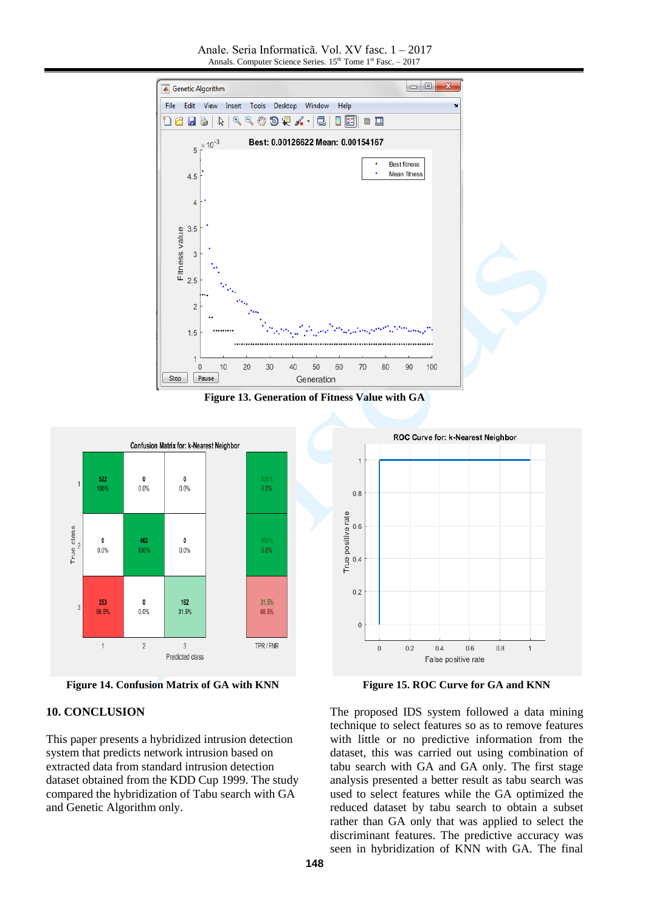Anale. Seria Informatică. Vol. XV fasc. 1 – 2017 Annals. Computer Science Series. 15<sup>th</sup> Tome 1<sup>st</sup> Fasc. - 2017



**Figure 13. Generation of Fitness Value with GA**



**Figure 14. Confusion Matrix of GA with KNN**

#### **10. CONCLUSION**

This paper presents a hybridized intrusion detection system that predicts network intrusion based on extracted data from standard intrusion detection dataset obtained from the KDD Cup 1999. The study compared the hybridization of Tabu search with GA and Genetic Algorithm only.

**Figure 15. ROC Curve for GA and KNN**

The proposed IDS system followed a data mining technique to select features so as to remove features with little or no predictive information from the dataset, this was carried out using combination of tabu search with GA and GA only. The first stage analysis presented a better result as tabu search was used to select features while the GA optimized the reduced dataset by tabu search to obtain a subset rather than GA only that was applied to select the discriminant features. The predictive accuracy was seen in hybridization of KNN with GA. The final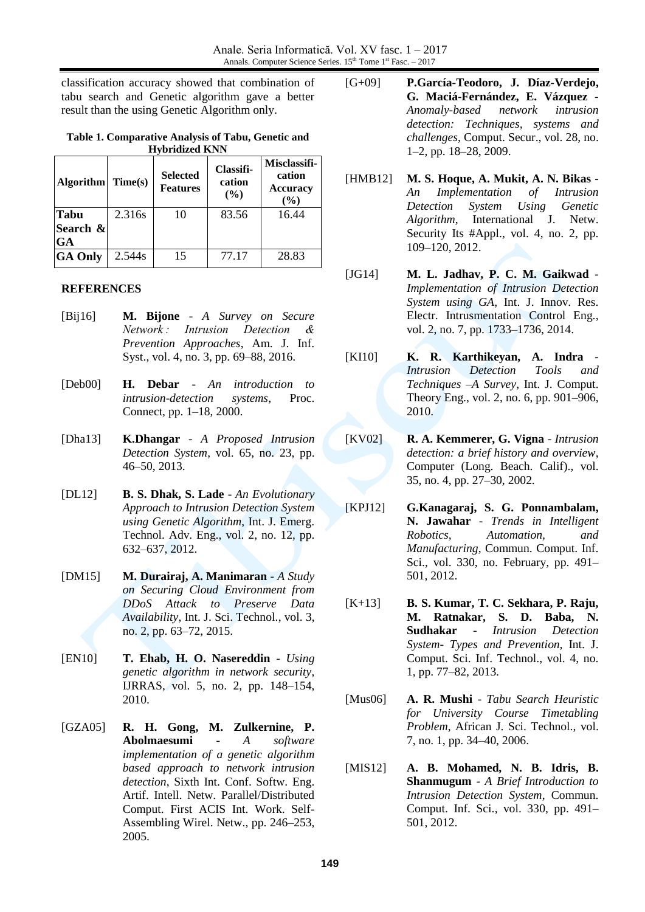classification accuracy showed that combination of tabu search and Genetic algorithm gave a better result than the using Genetic Algorithm only.

#### **Table 1. Comparative Analysis of Tabu, Genetic and Hybridized KNN**

| <b>Algorithm</b> | Time(s) | <b>Selected</b><br><b>Features</b> | Classifi-<br>cation<br>(%) | Misclassifi-<br>cation<br><b>Accuracy</b><br>(%) |  |  |
|------------------|---------|------------------------------------|----------------------------|--------------------------------------------------|--|--|
| Tabu             | 2.316s  | 10                                 | 83.56                      | 16.44                                            |  |  |
| Search &         |         |                                    |                            |                                                  |  |  |
| GA               |         |                                    |                            |                                                  |  |  |
| <b>GA Only</b>   | 2.544s  | 15                                 | 77.17                      | 28.83                                            |  |  |

### **REFERENCES**

- [Bij16] **M. Bijone** *A Survey on Secure Network : Intrusion Detection & Prevention Approaches*, Am. J. Inf. Syst., vol. 4, no. 3, pp. 69–88, 2016.
- [Deb00] **H. Debar** *An introduction to intrusion-detection systems*, Proc. Connect, pp. 1–18, 2000.
- [Dha13] **K.Dhangar** *A Proposed Intrusion Detection System*, vol. 65, no. 23, pp. 46–50, 2013.
- [DL12] **B. S. Dhak, S. Lade** *An Evolutionary Approach to Intrusion Detection System using Genetic Algorithm*, Int. J. Emerg. Technol. Adv. Eng., vol. 2, no. 12, pp. 632–637, 2012.
- [DM15] **M. Durairaj, A. Manimaran** *A Study on Securing Cloud Environment from DDoS Attack to Preserve Data Availability*, Int. J. Sci. Technol., vol. 3, no. 2, pp. 63–72, 2015.
- [EN10] **T. Ehab, H. O. Nasereddin** *Using genetic algorithm in network security*, IJRRAS, vol. 5, no. 2, pp. 148–154, 2010.
- [GZA05] **R. H. Gong, M. Zulkernine, P. Abolmaesumi** - *A software implementation of a genetic algorithm based approach to network intrusion detection*, Sixth Int. Conf. Softw. Eng. Artif. Intell. Netw. Parallel/Distributed Comput. First ACIS Int. Work. Self-Assembling Wirel. Netw., pp. 246–253, 2005.
- [G+09] **P.García-Teodoro, J. Díaz-Verdejo, G. Maciá-Fernández, E. Vázquez** - *Anomaly-based network intrusion detection: Techniques, systems and challenges*, Comput. Secur., vol. 28, no. 1–2, pp. 18–28, 2009.
- [HMB12] **M. S. Hoque, A. Mukit, A. N. Bikas** *An Implementation of Intrusion Detection System Using Genetic Algorithm*, International J. Netw. Security Its #Appl., vol. 4, no. 2, pp. 109–120, 2012.
- [JG14] **M. L. Jadhav, P. C. M. Gaikwad** *Implementation of Intrusion Detection System using GA*, Int. J. Innov. Res. Electr. Intrusmentation Control Eng., vol. 2, no. 7, pp. 1733–1736, 2014.
- [KI10] **K. R. Karthikeyan, A. Indra** *Intrusion Detection Tools and Techniques –A Survey*, Int. J. Comput. Theory Eng., vol. 2, no. 6, pp. 901–906, 2010.
- [KV02] **R. A. Kemmerer, G. Vigna** *Intrusion detection: a brief history and overview*, Computer (Long. Beach. Calif)., vol. 35, no. 4, pp. 27–30, 2002.
- [KPJ12] **G.Kanagaraj, S. G. Ponnambalam, N. Jawahar** - *Trends in Intelligent Robotics, Automation, and Manufacturing*, Commun. Comput. Inf. Sci., vol. 330, no. February, pp. 491– 501, 2012.
- [K+13] **B. S. Kumar, T. C. Sekhara, P. Raju, M. Ratnakar, S. D. Baba, N. Sudhakar** - *Intrusion Detection System- Types and Prevention,* Int. J. Comput. Sci. Inf. Technol., vol. 4, no. 1, pp. 77–82, 2013.
- [Mus06] **A. R. Mushi** *Tabu Search Heuristic for University Course Timetabling Problem*, African J. Sci. Technol., vol. 7, no. 1, pp. 34–40, 2006.
- [MIS12] **A. B. Mohamed, N. B. Idris, B. Shanmugum** - *A Brief Introduction to Intrusion Detection System*, Commun. Comput. Inf. Sci., vol. 330, pp. 491– 501, 2012.